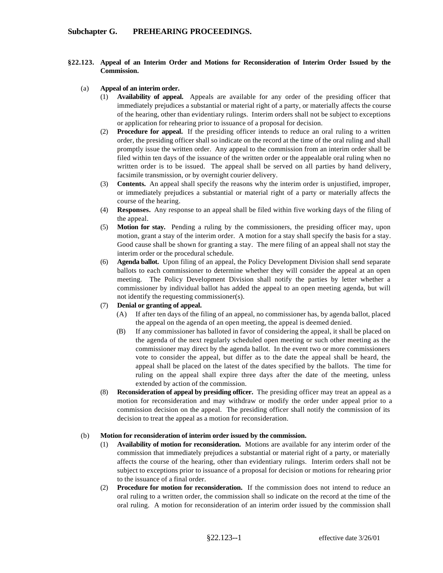## **§22.123. Appeal of an Interim Order and Motions for Reconsideration of Interim Order Issued by the Commission.**

- (a) **Appeal of an interim order.** 
	- **Availability of appeal.** Appeals are available for any order of the presiding officer that immediately prejudices a substantial or material right of a party, or materially affects the course of the hearing, other than evidentiary rulings. Interim orders shall not be subject to exceptions or application for rehearing prior to issuance of a proposal for decision.
	- (2) **Procedure for appeal.** If the presiding officer intends to reduce an oral ruling to a written order, the presiding officer shall so indicate on the record at the time of the oral ruling and shall promptly issue the written order. Any appeal to the commission from an interim order shall be filed within ten days of the issuance of the written order or the appealable oral ruling when no written order is to be issued. The appeal shall be served on all parties by hand delivery, facsimile transmission, or by overnight courier delivery.
	- (3) **Contents.** An appeal shall specify the reasons why the interim order is unjustified, improper, or immediately prejudices a substantial or material right of a party or materially affects the course of the hearing.
	- (4) **Responses.** Any response to an appeal shall be filed within five working days of the filing of the appeal.
	- (5) **Motion for stay.** Pending a ruling by the commissioners, the presiding officer may, upon motion, grant a stay of the interim order. A motion for a stay shall specify the basis for a stay. Good cause shall be shown for granting a stay. The mere filing of an appeal shall not stay the interim order or the procedural schedule.
	- (6) **Agenda ballot.** Upon filing of an appeal, the Policy Development Division shall send separate ballots to each commissioner to determine whether they will consider the appeal at an open meeting. The Policy Development Division shall notify the parties by letter whether a commissioner by individual ballot has added the appeal to an open meeting agenda, but will not identify the requesting commissioner(s).

## (7) **Denial or granting of appeal.**

- (A) If after ten days of the filing of an appeal, no commissioner has, by agenda ballot, placed the appeal on the agenda of an open meeting, the appeal is deemed denied.
- (B) If any commissioner has balloted in favor of considering the appeal, it shall be placed on the agenda of the next regularly scheduled open meeting or such other meeting as the commissioner may direct by the agenda ballot. In the event two or more commissioners vote to consider the appeal, but differ as to the date the appeal shall be heard, the appeal shall be placed on the latest of the dates specified by the ballots. The time for ruling on the appeal shall expire three days after the date of the meeting, unless extended by action of the commission.
- (8) **Reconsideration of appeal by presiding officer.** The presiding officer may treat an appeal as a motion for reconsideration and may withdraw or modify the order under appeal prior to a commission decision on the appeal. The presiding officer shall notify the commission of its decision to treat the appeal as a motion for reconsideration.

## (b) **Motion for reconsideration of interim order issued by the commission.**

- (1) **Availability of motion for reconsideration.** Motions are available for any interim order of the commission that immediately prejudices a substantial or material right of a party, or materially affects the course of the hearing, other than evidentiary rulings. Interim orders shall not be subject to exceptions prior to issuance of a proposal for decision or motions for rehearing prior to the issuance of a final order.
- (2) **Procedure for motion for reconsideration.** If the commission does not intend to reduce an oral ruling to a written order, the commission shall so indicate on the record at the time of the oral ruling. A motion for reconsideration of an interim order issued by the commission shall